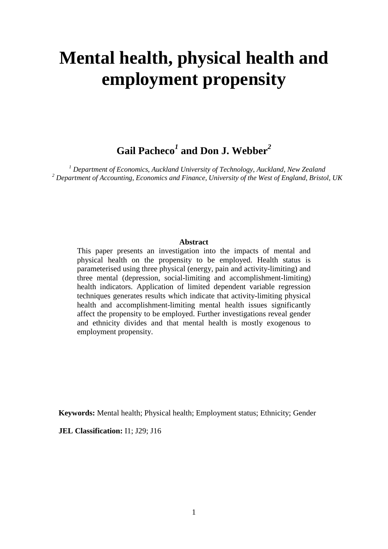# **Mental health, physical health and employment propensity**

**Gail Pacheco***<sup>1</sup>* **and Don J. Webber***<sup>2</sup>*

*<sup>1</sup> Department of Economics, Auckland University of Technology, Auckland, New Zealand <sup>2</sup> Department of Accounting, Economics and Finance, University of the West of England, Bristol, UK*

# **Abstract**

This paper presents an investigation into the impacts of mental and physical health on the propensity to be employed. Health status is parameterised using three physical (energy, pain and activity-limiting) and three mental (depression, social-limiting and accomplishment-limiting) health indicators. Application of limited dependent variable regression techniques generates results which indicate that activity-limiting physical health and accomplishment-limiting mental health issues significantly affect the propensity to be employed. Further investigations reveal gender and ethnicity divides and that mental health is mostly exogenous to employment propensity.

**Keywords:** Mental health; Physical health; Employment status; Ethnicity; Gender

**JEL Classification:** I1; J29; J16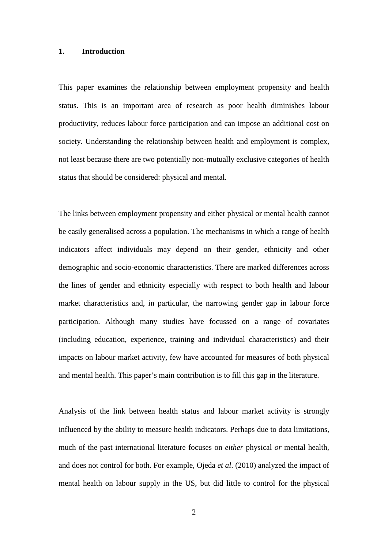#### **1. Introduction**

This paper examines the relationship between employment propensity and health status. This is an important area of research as poor health diminishes labour productivity, reduces labour force participation and can impose an additional cost on society. Understanding the relationship between health and employment is complex, not least because there are two potentially non-mutually exclusive categories of health status that should be considered: physical and mental.

The links between employment propensity and either physical or mental health cannot be easily generalised across a population. The mechanisms in which a range of health indicators affect individuals may depend on their gender, ethnicity and other demographic and socio-economic characteristics. There are marked differences across the lines of gender and ethnicity especially with respect to both health and labour market characteristics and, in particular, the narrowing gender gap in labour force participation. Although many studies have focussed on a range of covariates (including education, experience, training and individual characteristics) and their impacts on labour market activity, few have accounted for measures of both physical and mental health. This paper's main contribution is to fill this gap in the literature.

Analysis of the link between health status and labour market activity is strongly influenced by the ability to measure health indicators. Perhaps due to data limitations, much of the past international literature focuses on *either* physical *or* mental health, and does not control for both. For example, Ojeda *et al*. (2010) analyzed the impact of mental health on labour supply in the US, but did little to control for the physical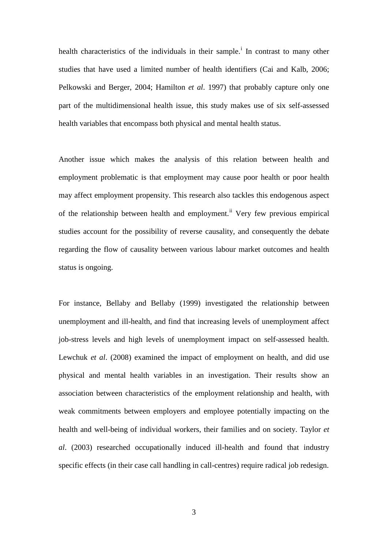health character[i](#page-34-0)stics of the individuals in their sample.<sup>i</sup> In contrast to many other studies that have used a limited number of health identifiers (Cai and Kalb, 2006; Pelkowski and Berger, 2004; Hamilton *et al*. 1997) that probably capture only one part of the multidimensional health issue, this study makes use of six self-assessed health variables that encompass both physical and mental health status.

Another issue which makes the analysis of this relation between health and employment problematic is that employment may cause poor health or poor health may affect employment propensity. This research also tackles this endogenous aspect of the relationship between health and employment.<sup>[ii](#page-34-1)</sup> Very few previous empirical studies account for the possibility of reverse causality, and consequently the debate regarding the flow of causality between various labour market outcomes and health status is ongoing.

For instance, Bellaby and Bellaby (1999) investigated the relationship between unemployment and ill-health, and find that increasing levels of unemployment affect job-stress levels and high levels of unemployment impact on self-assessed health. Lewchuk *et al*. (2008) examined the impact of employment on health, and did use physical and mental health variables in an investigation. Their results show an association between characteristics of the employment relationship and health, with weak commitments between employers and employee potentially impacting on the health and well-being of individual workers, their families and on society. Taylor *et al*. (2003) researched occupationally induced ill-health and found that industry specific effects (in their case call handling in call-centres) require radical job redesign.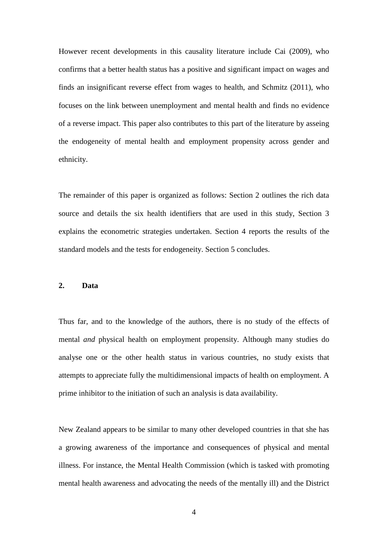However recent developments in this causality literature include Cai (2009), who confirms that a better health status has a positive and significant impact on wages and finds an insignificant reverse effect from wages to health, and Schmitz (2011), who focuses on the link between unemployment and mental health and finds no evidence of a reverse impact. This paper also contributes to this part of the literature by asseing the endogeneity of mental health and employment propensity across gender and ethnicity.

The remainder of this paper is organized as follows: Section 2 outlines the rich data source and details the six health identifiers that are used in this study, Section 3 explains the econometric strategies undertaken. Section 4 reports the results of the standard models and the tests for endogeneity. Section 5 concludes.

# **2. Data**

Thus far, and to the knowledge of the authors, there is no study of the effects of mental *and* physical health on employment propensity. Although many studies do analyse one or the other health status in various countries, no study exists that attempts to appreciate fully the multidimensional impacts of health on employment. A prime inhibitor to the initiation of such an analysis is data availability.

New Zealand appears to be similar to many other developed countries in that she has a growing awareness of the importance and consequences of physical and mental illness. For instance, the Mental Health Commission (which is tasked with promoting mental health awareness and advocating the needs of the mentally ill) and the District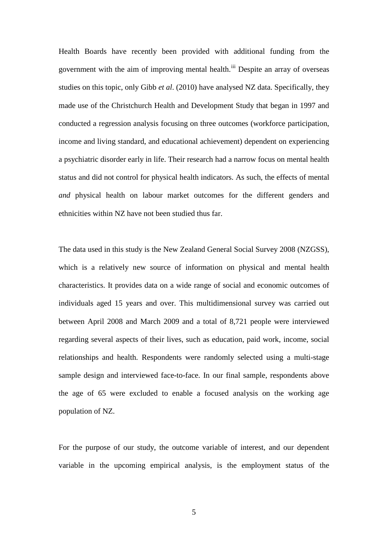Health Boards have recently been provided with additional funding from the government with the aim of improving mental health.<sup>[iii](#page-34-2)</sup> Despite an array of overseas studies on this topic, only Gibb *et al*. (2010) have analysed NZ data. Specifically, they made use of the Christchurch Health and Development Study that began in 1997 and conducted a regression analysis focusing on three outcomes (workforce participation, income and living standard, and educational achievement) dependent on experiencing a psychiatric disorder early in life. Their research had a narrow focus on mental health status and did not control for physical health indicators. As such, the effects of mental *and* physical health on labour market outcomes for the different genders and ethnicities within NZ have not been studied thus far.

The data used in this study is the New Zealand General Social Survey 2008 (NZGSS), which is a relatively new source of information on physical and mental health characteristics. It provides data on a wide range of social and economic outcomes of individuals aged 15 years and over. This multidimensional survey was carried out between April 2008 and March 2009 and a total of 8,721 people were interviewed regarding several aspects of their lives, such as education, paid work, income, social relationships and health. Respondents were randomly selected using a multi-stage sample design and interviewed face-to-face. In our final sample, respondents above the age of 65 were excluded to enable a focused analysis on the working age population of NZ.

For the purpose of our study, the outcome variable of interest, and our dependent variable in the upcoming empirical analysis, is the employment status of the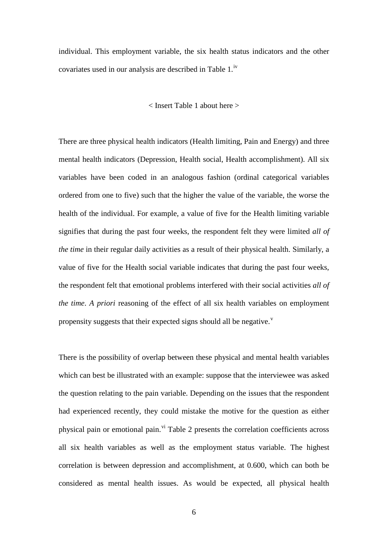individual. This employment variable, the six health status indicators and the other covariates used in our analysis are described in Table 1.<sup>[iv](#page-34-3)</sup>

#### < Insert Table 1 about here >

There are three physical health indicators (Health limiting, Pain and Energy) and three mental health indicators (Depression, Health social, Health accomplishment). All six variables have been coded in an analogous fashion (ordinal categorical variables ordered from one to five) such that the higher the value of the variable, the worse the health of the individual. For example, a value of five for the Health limiting variable signifies that during the past four weeks, the respondent felt they were limited *all of the time* in their regular daily activities as a result of their physical health. Similarly, a value of five for the Health social variable indicates that during the past four weeks, the respondent felt that emotional problems interfered with their social activities *all of the time*. *A priori* reasoning of the effect of all six health variables on employment propensity suggests that their expected signs should all be negati[v](#page-34-4)e. $v$ 

There is the possibility of overlap between these physical and mental health variables which can best be illustrated with an example: suppose that the interviewee was asked the question relating to the pain variable. Depending on the issues that the respondent had experienced recently, they could mistake the motive for the question as either physical pain or emotional pain.<sup>[vi](#page-34-5)</sup> Table 2 presents the correlation coefficients across all six health variables as well as the employment status variable. The highest correlation is between depression and accomplishment, at 0.600, which can both be considered as mental health issues. As would be expected, all physical health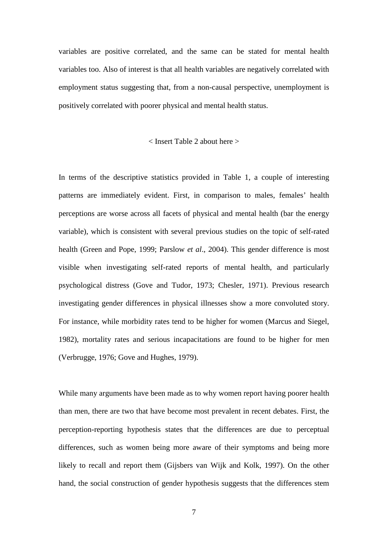variables are positive correlated, and the same can be stated for mental health variables too. Also of interest is that all health variables are negatively correlated with employment status suggesting that, from a non-causal perspective, unemployment is positively correlated with poorer physical and mental health status.

## < Insert Table 2 about here >

In terms of the descriptive statistics provided in Table 1, a couple of interesting patterns are immediately evident. First, in comparison to males, females' health perceptions are worse across all facets of physical and mental health (bar the energy variable), which is consistent with several previous studies on the topic of self-rated health (Green and Pope, 1999; Parslow *et al*., 2004). This gender difference is most visible when investigating self-rated reports of mental health, and particularly psychological distress (Gove and Tudor, 1973; Chesler, 1971). Previous research investigating gender differences in physical illnesses show a more convoluted story. For instance, while morbidity rates tend to be higher for women (Marcus and Siegel, 1982), mortality rates and serious incapacitations are found to be higher for men (Verbrugge, 1976; Gove and Hughes, 1979).

While many arguments have been made as to why women report having poorer health than men, there are two that have become most prevalent in recent debates. First, the perception-reporting hypothesis states that the differences are due to perceptual differences, such as women being more aware of their symptoms and being more likely to recall and report them (Gijsbers van Wijk and Kolk, 1997). On the other hand, the social construction of gender hypothesis suggests that the differences stem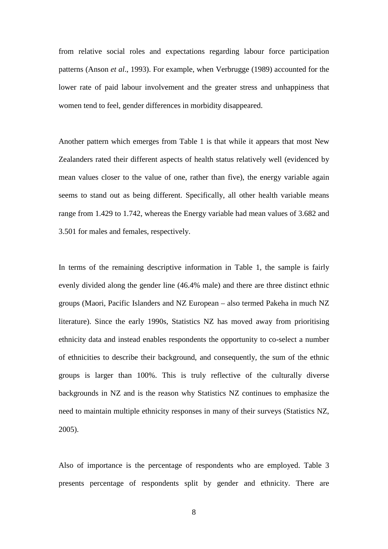from relative social roles and expectations regarding labour force participation patterns (Anson *et al*., 1993). For example, when Verbrugge (1989) accounted for the lower rate of paid labour involvement and the greater stress and unhappiness that women tend to feel, gender differences in morbidity disappeared.

Another pattern which emerges from Table 1 is that while it appears that most New Zealanders rated their different aspects of health status relatively well (evidenced by mean values closer to the value of one, rather than five), the energy variable again seems to stand out as being different. Specifically, all other health variable means range from 1.429 to 1.742, whereas the Energy variable had mean values of 3.682 and 3.501 for males and females, respectively.

In terms of the remaining descriptive information in Table 1, the sample is fairly evenly divided along the gender line (46.4% male) and there are three distinct ethnic groups (Maori, Pacific Islanders and NZ European – also termed Pakeha in much NZ literature). Since the early 1990s, Statistics NZ has moved away from prioritising ethnicity data and instead enables respondents the opportunity to co-select a number of ethnicities to describe their background, and consequently, the sum of the ethnic groups is larger than 100%. This is truly reflective of the culturally diverse backgrounds in NZ and is the reason why Statistics NZ continues to emphasize the need to maintain multiple ethnicity responses in many of their surveys (Statistics NZ, 2005).

Also of importance is the percentage of respondents who are employed. Table 3 presents percentage of respondents split by gender and ethnicity. There are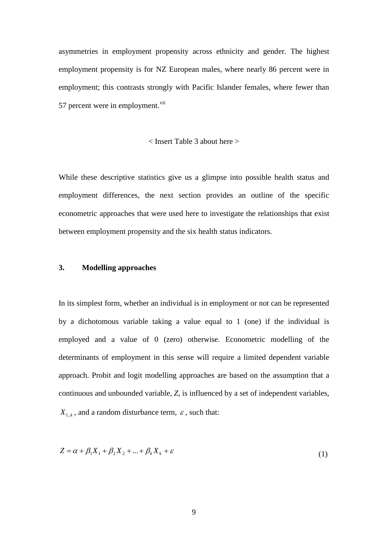asymmetries in employment propensity across ethnicity and gender. The highest employment propensity is for NZ European males, where nearly 86 percent were in employment; this contrasts strongly with Pacific Islander females, where fewer than 57 percent were in employment. $\mathrm{vii}$  $\mathrm{vii}$  $\mathrm{vii}$ 

# < Insert Table 3 about here >

While these descriptive statistics give us a glimpse into possible health status and employment differences, the next section provides an outline of the specific econometric approaches that were used here to investigate the relationships that exist between employment propensity and the six health status indicators.

# **3. Modelling approaches**

In its simplest form, whether an individual is in employment or not can be represented by a dichotomous variable taking a value equal to 1 (one) if the individual is employed and a value of 0 (zero) otherwise. Econometric modelling of the determinants of employment in this sense will require a limited dependent variable approach. Probit and logit modelling approaches are based on the assumption that a continuous and unbounded variable, *Z*, is influenced by a set of independent variables,  $X_{1,k}$ , and a random disturbance term,  $\varepsilon$ , such that:

$$
Z = \alpha + \beta_1 X_1 + \beta_2 X_2 + \dots + \beta_k X_k + \varepsilon
$$
\n<sup>(1)</sup>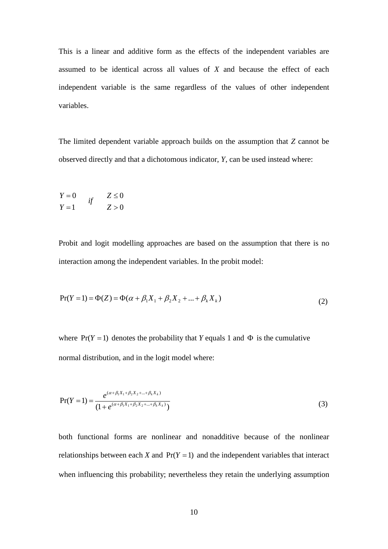This is a linear and additive form as the effects of the independent variables are assumed to be identical across all values of *X* and because the effect of each independent variable is the same regardless of the values of other independent variables.

The limited dependent variable approach builds on the assumption that *Z* cannot be observed directly and that a dichotomous indicator, *Y*, can be used instead where:

$$
Y = 0
$$
  

$$
Y = 1
$$
  

$$
Y = 1
$$
  

$$
Y = 0
$$
  

$$
Z \le 0
$$

Probit and logit modelling approaches are based on the assumption that there is no interaction among the independent variables. In the probit model:

$$
Pr(Y = 1) = \Phi(Z) = \Phi(\alpha + \beta_1 X_1 + \beta_2 X_2 + ... + \beta_k X_k)
$$
\n(2)

where  $Pr(Y = 1)$  denotes the probability that *Y* equals 1 and  $\Phi$  is the cumulative normal distribution, and in the logit model where:

$$
Pr(Y = 1) = \frac{e^{(\alpha + \beta_1 X_1 + \beta_2 X_2 + \dots + \beta_k X_k)}}{(1 + e^{(\alpha + \beta_1 X_1 + \beta_2 X_2 + \dots + \beta_k X_k)})}
$$
(3)

both functional forms are nonlinear and nonadditive because of the nonlinear relationships between each *X* and  $Pr(Y = 1)$  and the independent variables that interact when influencing this probability; nevertheless they retain the underlying assumption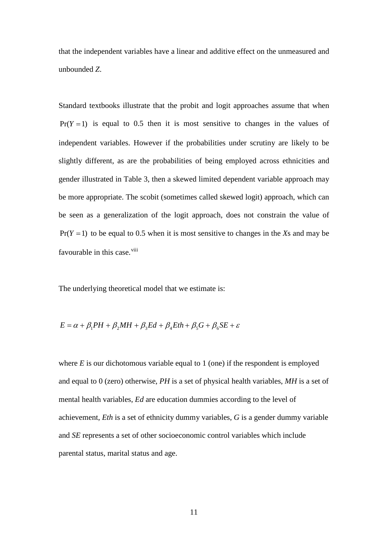that the independent variables have a linear and additive effect on the unmeasured and unbounded *Z*.

Standard textbooks illustrate that the probit and logit approaches assume that when  $Pr(Y = 1)$  is equal to 0.5 then it is most sensitive to changes in the values of independent variables. However if the probabilities under scrutiny are likely to be slightly different, as are the probabilities of being employed across ethnicities and gender illustrated in Table 3, then a skewed limited dependent variable approach may be more appropriate. The scobit (sometimes called skewed logit) approach, which can be seen as a generalization of the logit approach, does not constrain the value of  $Pr(Y = 1)$  to be equal to 0.5 when it is most sensitive to changes in the *X*s and may be favourable in this case.<sup>[viii](#page-34-7)</sup>

The underlying theoretical model that we estimate is:

$$
E = \alpha + \beta_1 PH + \beta_2 MH + \beta_3 Ed + \beta_4 Eth + \beta_5 G + \beta_6 SE + \varepsilon
$$

where  $E$  is our dichotomous variable equal to 1 (one) if the respondent is employed and equal to 0 (zero) otherwise, *PH* is a set of physical health variables, *MH* is a set of mental health variables, *Ed* are education dummies according to the level of achievement, *Eth* is a set of ethnicity dummy variables, *G* is a gender dummy variable and *SE* represents a set of other socioeconomic control variables which include parental status, marital status and age.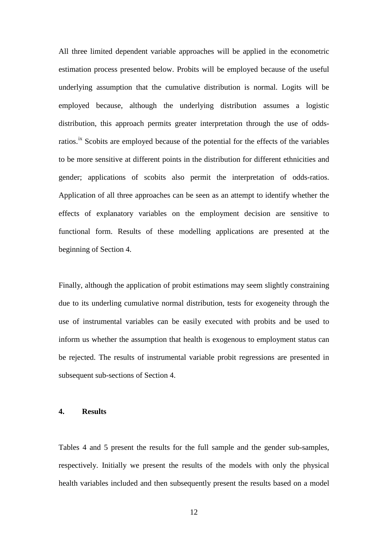All three limited dependent variable approaches will be applied in the econometric estimation process presented below. Probits will be employed because of the useful underlying assumption that the cumulative distribution is normal. Logits will be employed because, although the underlying distribution assumes a logistic distribution, this approach permits greater interpretation through the use of oddsratios.<sup>[ix](#page-34-8)</sup> Scobits are employed because of the potential for the effects of the variables to be more sensitive at different points in the distribution for different ethnicities and gender; applications of scobits also permit the interpretation of odds-ratios. Application of all three approaches can be seen as an attempt to identify whether the effects of explanatory variables on the employment decision are sensitive to functional form. Results of these modelling applications are presented at the beginning of Section 4.

Finally, although the application of probit estimations may seem slightly constraining due to its underling cumulative normal distribution, tests for exogeneity through the use of instrumental variables can be easily executed with probits and be used to inform us whether the assumption that health is exogenous to employment status can be rejected. The results of instrumental variable probit regressions are presented in subsequent sub-sections of Section 4.

# **4. Results**

Tables 4 and 5 present the results for the full sample and the gender sub-samples, respectively. Initially we present the results of the models with only the physical health variables included and then subsequently present the results based on a model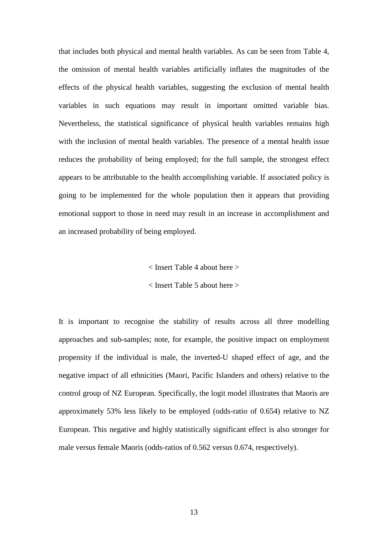that includes both physical and mental health variables. As can be seen from Table 4, the omission of mental health variables artificially inflates the magnitudes of the effects of the physical health variables, suggesting the exclusion of mental health variables in such equations may result in important omitted variable bias. Nevertheless, the statistical significance of physical health variables remains high with the inclusion of mental health variables. The presence of a mental health issue reduces the probability of being employed; for the full sample, the strongest effect appears to be attributable to the health accomplishing variable. If associated policy is going to be implemented for the whole population then it appears that providing emotional support to those in need may result in an increase in accomplishment and an increased probability of being employed.

< Insert Table 4 about here >

< Insert Table 5 about here >

It is important to recognise the stability of results across all three modelling approaches and sub-samples; note, for example, the positive impact on employment propensity if the individual is male, the inverted-U shaped effect of age, and the negative impact of all ethnicities (Maori, Pacific Islanders and others) relative to the control group of NZ European. Specifically, the logit model illustrates that Maoris are approximately 53% less likely to be employed (odds-ratio of 0.654) relative to NZ European. This negative and highly statistically significant effect is also stronger for male versus female Maoris (odds-ratios of 0.562 versus 0.674, respectively).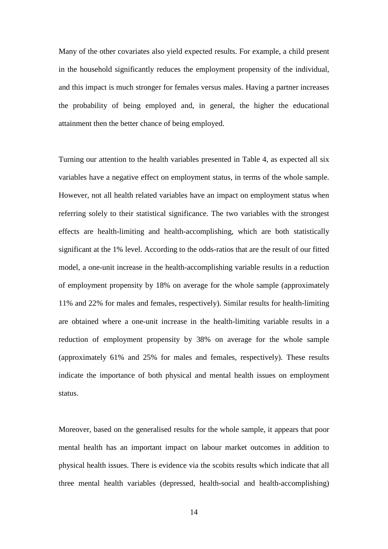Many of the other covariates also yield expected results. For example, a child present in the household significantly reduces the employment propensity of the individual, and this impact is much stronger for females versus males. Having a partner increases the probability of being employed and, in general, the higher the educational attainment then the better chance of being employed.

Turning our attention to the health variables presented in Table 4, as expected all six variables have a negative effect on employment status, in terms of the whole sample. However, not all health related variables have an impact on employment status when referring solely to their statistical significance. The two variables with the strongest effects are health-limiting and health-accomplishing, which are both statistically significant at the 1% level. According to the odds-ratios that are the result of our fitted model, a one-unit increase in the health-accomplishing variable results in a reduction of employment propensity by 18% on average for the whole sample (approximately 11% and 22% for males and females, respectively). Similar results for health-limiting are obtained where a one-unit increase in the health-limiting variable results in a reduction of employment propensity by 38% on average for the whole sample (approximately 61% and 25% for males and females, respectively). These results indicate the importance of both physical and mental health issues on employment status.

Moreover, based on the generalised results for the whole sample, it appears that poor mental health has an important impact on labour market outcomes in addition to physical health issues. There is evidence via the scobits results which indicate that all three mental health variables (depressed, health-social and health-accomplishing)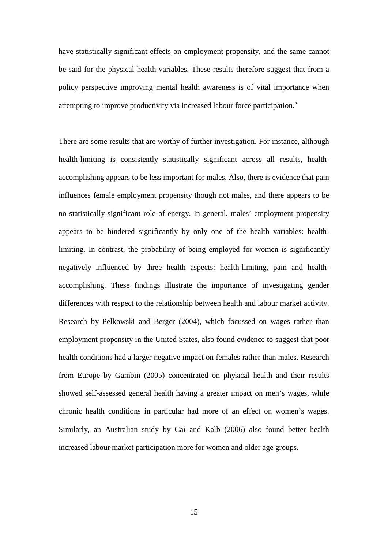have statistically significant effects on employment propensity, and the same cannot be said for the physical health variables. These results therefore suggest that from a policy perspective improving mental health awareness is of vital importance when attempting to improve productivity via increased labour force participation.<sup>[x](#page-34-9)</sup>

There are some results that are worthy of further investigation. For instance, although health-limiting is consistently statistically significant across all results, healthaccomplishing appears to be less important for males. Also, there is evidence that pain influences female employment propensity though not males, and there appears to be no statistically significant role of energy. In general, males' employment propensity appears to be hindered significantly by only one of the health variables: healthlimiting. In contrast, the probability of being employed for women is significantly negatively influenced by three health aspects: health-limiting, pain and healthaccomplishing. These findings illustrate the importance of investigating gender differences with respect to the relationship between health and labour market activity. Research by Pelkowski and Berger (2004), which focussed on wages rather than employment propensity in the United States, also found evidence to suggest that poor health conditions had a larger negative impact on females rather than males. Research from Europe by Gambin (2005) concentrated on physical health and their results showed self-assessed general health having a greater impact on men's wages, while chronic health conditions in particular had more of an effect on women's wages. Similarly, an Australian study by Cai and Kalb (2006) also found better health increased labour market participation more for women and older age groups.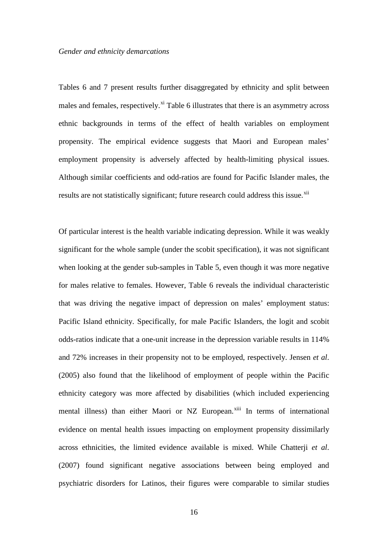Tables 6 and 7 present results further disaggregated by ethnicity and split between males and females, respectively.<sup>[xi](#page-34-10)</sup> Table 6 illustrates that there is an asymmetry across ethnic backgrounds in terms of the effect of health variables on employment propensity. The empirical evidence suggests that Maori and European males' employment propensity is adversely affected by health-limiting physical issues. Although similar coefficients and odd-ratios are found for Pacific Islander males, the results are not statistically significant; future research could address this issue.<sup>[xii](#page-34-11)</sup>

Of particular interest is the health variable indicating depression. While it was weakly significant for the whole sample (under the scobit specification), it was not significant when looking at the gender sub-samples in Table 5, even though it was more negative for males relative to females. However, Table 6 reveals the individual characteristic that was driving the negative impact of depression on males' employment status: Pacific Island ethnicity. Specifically, for male Pacific Islanders, the logit and scobit odds-ratios indicate that a one-unit increase in the depression variable results in 114% and 72% increases in their propensity not to be employed, respectively. Jensen *et al*. (2005) also found that the likelihood of employment of people within the Pacific ethnicity category was more affected by disabilities (which included experiencing mental illness) than either Maori or NZ European.<sup>[xiii](#page-34-12)</sup> In terms of international evidence on mental health issues impacting on employment propensity dissimilarly across ethnicities, the limited evidence available is mixed. While Chatterji *et al*. (2007) found significant negative associations between being employed and psychiatric disorders for Latinos, their figures were comparable to similar studies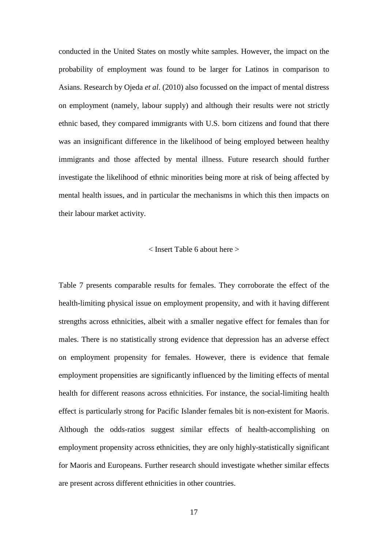conducted in the United States on mostly white samples. However, the impact on the probability of employment was found to be larger for Latinos in comparison to Asians. Research by Ojeda *et al*. (2010) also focussed on the impact of mental distress on employment (namely, labour supply) and although their results were not strictly ethnic based, they compared immigrants with U.S. born citizens and found that there was an insignificant difference in the likelihood of being employed between healthy immigrants and those affected by mental illness. Future research should further investigate the likelihood of ethnic minorities being more at risk of being affected by mental health issues, and in particular the mechanisms in which this then impacts on their labour market activity.

#### < Insert Table 6 about here >

Table 7 presents comparable results for females. They corroborate the effect of the health-limiting physical issue on employment propensity, and with it having different strengths across ethnicities, albeit with a smaller negative effect for females than for males. There is no statistically strong evidence that depression has an adverse effect on employment propensity for females. However, there is evidence that female employment propensities are significantly influenced by the limiting effects of mental health for different reasons across ethnicities. For instance, the social-limiting health effect is particularly strong for Pacific Islander females bit is non-existent for Maoris. Although the odds-ratios suggest similar effects of health-accomplishing on employment propensity across ethnicities, they are only highly-statistically significant for Maoris and Europeans. Further research should investigate whether similar effects are present across different ethnicities in other countries.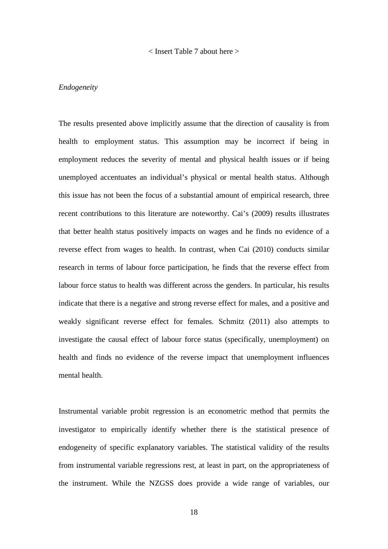#### < Insert Table 7 about here >

### *Endogeneity*

The results presented above implicitly assume that the direction of causality is from health to employment status. This assumption may be incorrect if being in employment reduces the severity of mental and physical health issues or if being unemployed accentuates an individual's physical or mental health status. Although this issue has not been the focus of a substantial amount of empirical research, three recent contributions to this literature are noteworthy. Cai's (2009) results illustrates that better health status positively impacts on wages and he finds no evidence of a reverse effect from wages to health. In contrast, when Cai (2010) conducts similar research in terms of labour force participation, he finds that the reverse effect from labour force status to health was different across the genders. In particular, his results indicate that there is a negative and strong reverse effect for males, and a positive and weakly significant reverse effect for females. Schmitz (2011) also attempts to investigate the causal effect of labour force status (specifically, unemployment) on health and finds no evidence of the reverse impact that unemployment influences mental health.

Instrumental variable probit regression is an econometric method that permits the investigator to empirically identify whether there is the statistical presence of endogeneity of specific explanatory variables. The statistical validity of the results from instrumental variable regressions rest, at least in part, on the appropriateness of the instrument. While the NZGSS does provide a wide range of variables, our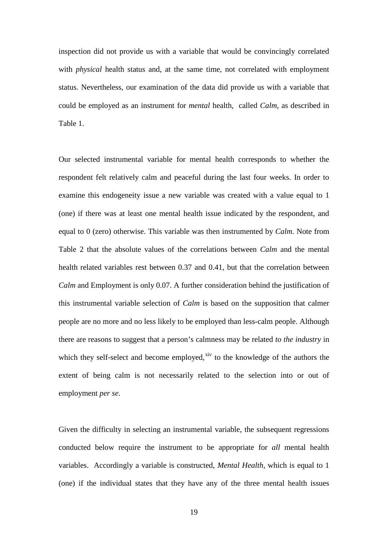inspection did not provide us with a variable that would be convincingly correlated with *physical* health status and, at the same time, not correlated with employment status. Nevertheless, our examination of the data did provide us with a variable that could be employed as an instrument for *mental* health, called *Calm*, as described in Table 1.

Our selected instrumental variable for mental health corresponds to whether the respondent felt relatively calm and peaceful during the last four weeks. In order to examine this endogeneity issue a new variable was created with a value equal to 1 (one) if there was at least one mental health issue indicated by the respondent, and equal to 0 (zero) otherwise. This variable was then instrumented by *Calm*. Note from Table 2 that the absolute values of the correlations between *Calm* and the mental health related variables rest between 0.37 and 0.41, but that the correlation between *Calm* and Employment is only 0.07. A further consideration behind the justification of this instrumental variable selection of *Calm* is based on the supposition that calmer people are no more and no less likely to be employed than less-calm people. Although there are reasons to suggest that a person's calmness may be related *to the industry* in which they self-select and become employed, $x<sup>iv</sup>$  to the knowledge of the authors the extent of being calm is not necessarily related to the selection into or out of employment *per se*.

Given the difficulty in selecting an instrumental variable, the subsequent regressions conducted below require the instrument to be appropriate for *all* mental health variables. Accordingly a variable is constructed, *Mental Health*, which is equal to 1 (one) if the individual states that they have any of the three mental health issues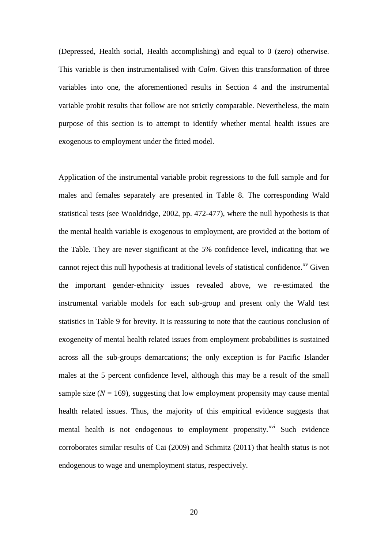(Depressed, Health social, Health accomplishing) and equal to 0 (zero) otherwise. This variable is then instrumentalised with *Calm*. Given this transformation of three variables into one, the aforementioned results in Section 4 and the instrumental variable probit results that follow are not strictly comparable. Nevertheless, the main purpose of this section is to attempt to identify whether mental health issues are exogenous to employment under the fitted model.

Application of the instrumental variable probit regressions to the full sample and for males and females separately are presented in Table 8. The corresponding Wald statistical tests (see Wooldridge, 2002, pp. 472-477), where the null hypothesis is that the mental health variable is exogenous to employment, are provided at the bottom of the Table. They are never significant at the 5% confidence level, indicating that we cannot reject this null hypothesis at traditional levels of statistical confidence.<sup>[xv](#page-35-0)</sup> Given the important gender-ethnicity issues revealed above, we re-estimated the instrumental variable models for each sub-group and present only the Wald test statistics in Table 9 for brevity. It is reassuring to note that the cautious conclusion of exogeneity of mental health related issues from employment probabilities is sustained across all the sub-groups demarcations; the only exception is for Pacific Islander males at the 5 percent confidence level, although this may be a result of the small sample size  $(N = 169)$ , suggesting that low employment propensity may cause mental health related issues. Thus, the majority of this empirical evidence suggests that mental health is not endogenous to employment propensity.<sup>[xvi](#page-35-1)</sup> Such evidence corroborates similar results of Cai (2009) and Schmitz (2011) that health status is not endogenous to wage and unemployment status, respectively.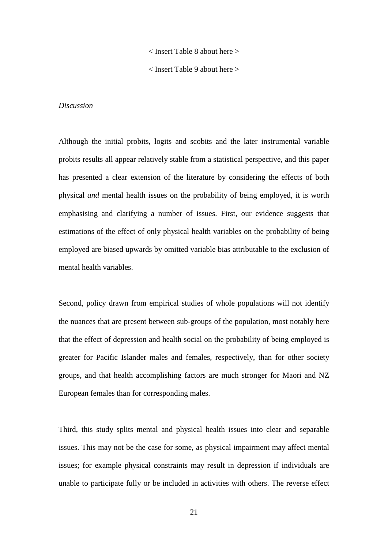< Insert Table 8 about here >

< Insert Table 9 about here >

# *Discussion*

Although the initial probits, logits and scobits and the later instrumental variable probits results all appear relatively stable from a statistical perspective, and this paper has presented a clear extension of the literature by considering the effects of both physical *and* mental health issues on the probability of being employed, it is worth emphasising and clarifying a number of issues. First, our evidence suggests that estimations of the effect of only physical health variables on the probability of being employed are biased upwards by omitted variable bias attributable to the exclusion of mental health variables.

Second, policy drawn from empirical studies of whole populations will not identify the nuances that are present between sub-groups of the population, most notably here that the effect of depression and health social on the probability of being employed is greater for Pacific Islander males and females, respectively, than for other society groups, and that health accomplishing factors are much stronger for Maori and NZ European females than for corresponding males.

Third, this study splits mental and physical health issues into clear and separable issues. This may not be the case for some, as physical impairment may affect mental issues; for example physical constraints may result in depression if individuals are unable to participate fully or be included in activities with others. The reverse effect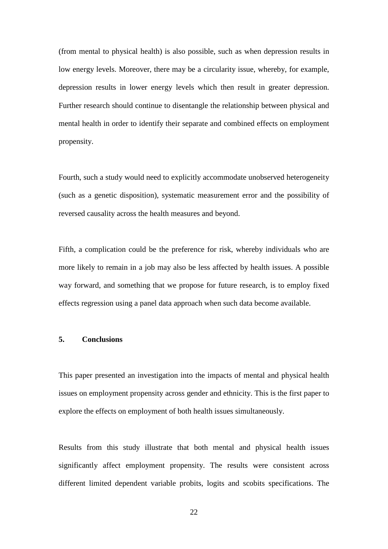(from mental to physical health) is also possible, such as when depression results in low energy levels. Moreover, there may be a circularity issue, whereby, for example, depression results in lower energy levels which then result in greater depression. Further research should continue to disentangle the relationship between physical and mental health in order to identify their separate and combined effects on employment propensity.

Fourth, such a study would need to explicitly accommodate unobserved heterogeneity (such as a genetic disposition), systematic measurement error and the possibility of reversed causality across the health measures and beyond.

Fifth, a complication could be the preference for risk, whereby individuals who are more likely to remain in a job may also be less affected by health issues. A possible way forward, and something that we propose for future research, is to employ fixed effects regression using a panel data approach when such data become available.

# **5. Conclusions**

This paper presented an investigation into the impacts of mental and physical health issues on employment propensity across gender and ethnicity. This is the first paper to explore the effects on employment of both health issues simultaneously.

Results from this study illustrate that both mental and physical health issues significantly affect employment propensity. The results were consistent across different limited dependent variable probits, logits and scobits specifications. The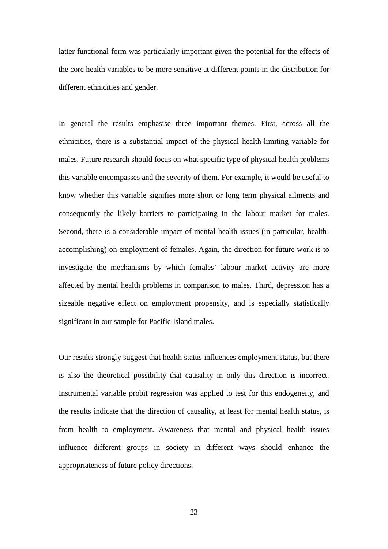latter functional form was particularly important given the potential for the effects of the core health variables to be more sensitive at different points in the distribution for different ethnicities and gender.

In general the results emphasise three important themes. First, across all the ethnicities, there is a substantial impact of the physical health-limiting variable for males. Future research should focus on what specific type of physical health problems this variable encompasses and the severity of them. For example, it would be useful to know whether this variable signifies more short or long term physical ailments and consequently the likely barriers to participating in the labour market for males. Second, there is a considerable impact of mental health issues (in particular, healthaccomplishing) on employment of females. Again, the direction for future work is to investigate the mechanisms by which females' labour market activity are more affected by mental health problems in comparison to males. Third, depression has a sizeable negative effect on employment propensity, and is especially statistically significant in our sample for Pacific Island males.

Our results strongly suggest that health status influences employment status, but there is also the theoretical possibility that causality in only this direction is incorrect. Instrumental variable probit regression was applied to test for this endogeneity, and the results indicate that the direction of causality, at least for mental health status, is from health to employment. Awareness that mental and physical health issues influence different groups in society in different ways should enhance the appropriateness of future policy directions.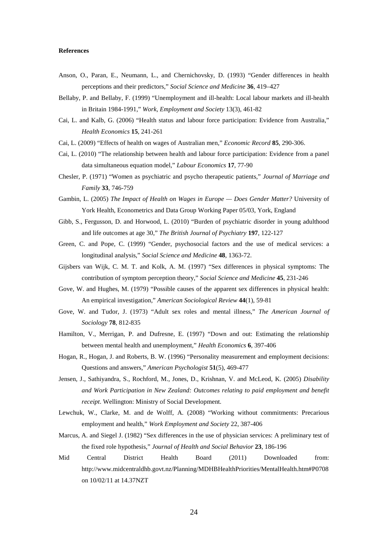#### **References**

- Anson, O., Paran, E., Neumann, L., and Chernichovsky, D. (1993) "Gender differences in health perceptions and their predictors," *Social Science and Medicine* **36**, 419–427
- Bellaby, P. and Bellaby, F. (1999) "Unemployment and ill-health: Local labour markets and ill-health in Britain 1984-1991," *Work, Employment and Society* 13(3), 461-82
- Cai, L. and Kalb, G. (2006) "Health status and labour force participation: Evidence from Australia," *Health Economics* **15**, 241-261
- Cai, L. (2009) "Effects of health on wages of Australian men," *Economic Record* **85**, 290-306.
- Cai, L. (2010) "The relationship between health and labour force participation: Evidence from a panel data simultaneous equation model," *Labour Economics* **17**, 77-90
- Chesler, P. (1971) "Women as psychiatric and psycho therapeutic patients," *Journal of Marriage and Family* **33**, 746-759
- Gambin, L. (2005) *The Impact of Health on Wages in Europe — Does Gender Matter?* University of York Health, Econometrics and Data Group Working Paper 05/03, York, England
- Gibb, S., Fergusson, D. and Horwood, L. (2010) "Burden of psychiatric disorder in young adulthood and life outcomes at age 30," *The British Journal of Psychiatry* **197**, 122-127
- Green, C. and Pope, C. (1999) "Gender, psychosocial factors and the use of medical services: a longitudinal analysis," *Social Science and Medicine* **48**, 1363-72.
- Gijsbers van Wijk, C. M. T. and Kolk, A. M. (1997) "Sex differences in physical symptoms: The contribution of symptom perception theory," *Social Science and Medicine* **45**, 231-246
- Gove, W. and Hughes, M. (1979) "Possible causes of the apparent sex differences in physical health: An empirical investigation," *American Sociological Review* **44**(1), 59-81
- Gove, W. and Tudor, J. (1973) "Adult sex roles and mental illness," *The American Journal of Sociology* **78**, 812-835
- Hamilton, V., Merrigan, P. and Dufresne, E. (1997) "Down and out: Estimating the relationship between mental health and unemployment," *Health Economics* **6**, 397-406
- Hogan, R., Hogan, J. and Roberts, B. W. (1996) "Personality measurement and employment decisions: Questions and answers," *American Psychologist* **51**(5), 469-477
- Jensen, J., Sathiyandra, S., Rochford, M., Jones, D., Krishnan, V. and McLeod, K. (2005) *Disability and Work Participation in New Zealand: Outcomes relating to paid employment and benefit receipt*. Wellington: Ministry of Social Development.
- Lewchuk, W., Clarke, M. and de Wolff, A. (2008) "Working without commitments: Precarious employment and health," *Work Employment and Society* 22, 387-406
- Marcus, A. and Siegel J. (1982) "Sex differences in the use of physician services: A preliminary test of the fixed role hypothesis," *Journal of Health and Social Behavior* **23**, 186-196
- Mid Central District Health Board (2011) Downloaded from: <http://www.midcentraldhb.govt.nz/Planning/MDHBHealthPriorities/MentalHealth.htm#P0708> on 10/02/11 at 14.37NZT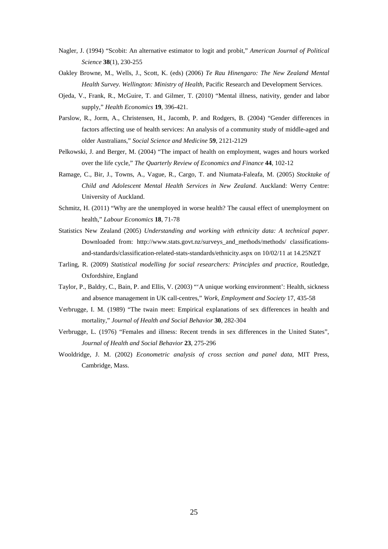- Nagler, J. (1994) "Scobit: An alternative estimator to logit and probit," *American Journal of Political Science* **38**(1), 230-255
- Oakley Browne, M., Wells, J., Scott, K. (eds) (2006) *Te Rau Hinengaro: The New Zealand Mental Health Survey. Wellington: Ministry of Health*, Pacific Research and Development Services.
- Ojeda, V., Frank, R., McGuire, T. and Gilmer, T. (2010) "Mental illness, nativity, gender and labor supply," *Health Economics* **19**, 396-421.
- Parslow, R., Jorm, A., Christensen, H., Jacomb, P. and Rodgers, B. (2004) "Gender differences in factors affecting use of health services: An analysis of a community study of middle-aged and older Australians," *Social Science and Medicine* **59**, 2121-2129
- Pelkowski, J. and Berger, M. (2004) "The impact of health on employment, wages and hours worked over the life cycle," *The Quarterly Review of Economics and Finance* **44**, 102-12
- Ramage, C., Bir, J., Towns, A., Vague, R., Cargo, T. and Niumata-Faleafa, M. (2005) *Stocktake of Child and Adolescent Mental Health Services in New Zealand*. Auckland: Werry Centre: University of Auckland.
- Schmitz, H. (2011) "Why are the unemployed in worse health? The causal effect of unemployment on health," *Labour Economics* **18**, 71-78
- Statistics New Zealand (2005) *Understanding and working with ethnicity data: A technical paper*. Downloaded from: [http://www.stats.govt.nz/surveys\\_and\\_methods/methods/ classifications](http://www.stats.govt.nz/surveys_and_methods/methods/%20classifications-and-standards/classification-related-stats-standards/ethnicity.aspx)[and-standards/classification-related-stats-standards/ethnicity.aspx](http://www.stats.govt.nz/surveys_and_methods/methods/%20classifications-and-standards/classification-related-stats-standards/ethnicity.aspx) on 10/02/11 at 14.25NZT
- Tarling, R. (2009) *Statistical modelling for social researchers: Principles and practice*, Routledge, Oxfordshire, England
- Taylor, P., Baldry, C., Bain, P. and Ellis, V. (2003) "'A unique working environment': Health, sickness and absence management in UK call-centres," *Work, Employment and Society* 17, 435-58
- Verbrugge, I. M. (1989) "The twain meet: Empirical explanations of sex differences in health and mortality," *Journal of Health and Social Behavior* **30**, 282-304
- Verbrugge, L. (1976) ["Females and illness: Recent trends in sex differences in the United States"](http://www.jstor.org.ezproxy.aut.ac.nz/stable/2136716), *Journal of Health and Social Behavior* **23**, 275-296
- Wooldridge, J. M. (2002) *Econometric analysis of cross section and panel data*, MIT Press, Cambridge, Mass.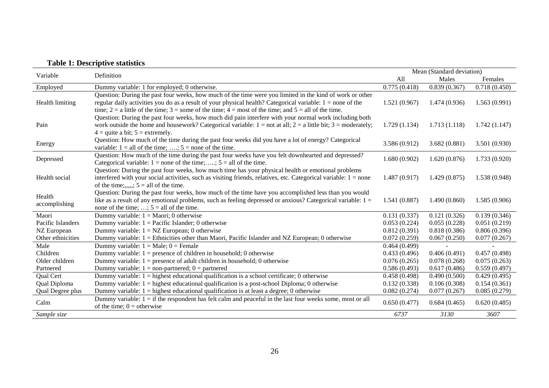# **Table 1: Descriptive statistics**

| Variable          | Definition                                                                                                                                  |               | Mean (Standard deviation) |               |
|-------------------|---------------------------------------------------------------------------------------------------------------------------------------------|---------------|---------------------------|---------------|
|                   |                                                                                                                                             | All           | Males                     | Females       |
| Employed          | Dummy variable: 1 for employed; 0 otherwise.                                                                                                | 0.775(0.418)  | 0.839(0.367)              | 0.718(0.450)  |
|                   | Question: During the past four weeks, how much of the time were you limited in the kind of work or other                                    |               |                           |               |
| Health limiting   | regular daily activities you do as a result of your physical health? Categorical variable: $1 =$ none of the                                | 1.521(0.967)  | 1.474(0.936)              | 1.563(0.991)  |
|                   | time; $2 = a$ little of the time; $3 =$ some of the time; $4 =$ most of the time; and $5 =$ all of the time.                                |               |                           |               |
|                   | Question: During the past four weeks, how much did pain interfere with your normal work including both                                      |               |                           |               |
| Pain              | work outside the home and housework? Categorical variable: $1 = not$ at all; $2 = a$ little bit; $3 = moderately;$                          | 1.729(1.134)  | 1.713(1.118)              | 1.742(1.147)  |
|                   | $4 =$ quite a bit; $5 =$ extremely.                                                                                                         |               |                           |               |
| Energy            | Question: How much of the time during the past four weeks did you have a lot of energy? Categorical                                         | 3.586 (0.912) | 3.682(0.881)              | 3.501 (0.930) |
|                   | variable: $1 =$ all of the time; ,; $5 =$ none of the time.                                                                                 |               |                           |               |
| Depressed         | Question: How much of the time during the past four weeks have you felt downhearted and depressed?                                          | 1.680(0.902)  | 1.620(0.876)              | 1.733(0.920)  |
|                   | Categorical variable: $1 =$ none of the time;, $5 =$ all of the time.                                                                       |               |                           |               |
| Health social     | Question: During the past four weeks, how much time has your physical health or emotional problems                                          |               |                           |               |
|                   | interfered with your social activities, such as visiting friends, relatives, etc. Categorical variable: $1 = none$                          | 1.487(0.917)  | 1.429(0.875)              | 1.538 (0.948) |
|                   | of the time;,,,,,; $5 =$ all of the time.                                                                                                   |               |                           |               |
| Health            | Question: During the past four weeks, how much of the time have you accomplished less than you would                                        |               |                           |               |
| accomplishing     | like as a result of any emotional problems, such as feeling depressed or anxious? Categorical variable: 1 =                                 | 1.541(0.887)  | 1.490(0.860)              | 1.585(0.906)  |
|                   | none of the time; ; $5 =$ all of the time.                                                                                                  |               |                           |               |
| Maori             | Dummy variable: $1 = \text{Maori}$ ; 0 otherwise                                                                                            | 0.131(0.337)  | 0.121(0.326)              | 0.139(0.346)  |
| Pacific Islanders | Dummy variable: $1 =$ Pacific Islander; 0 otherwise                                                                                         | 0.053(0.224)  | 0.055(0.228)              | 0.051(0.219)  |
| NZ European       | Dummy variable: $1 = NZ$ European; 0 otherwise                                                                                              | 0.812(0.391)  | 0.818(0.386)              | 0.806(0.396)  |
| Other ethnicities | Dummy variable: 1 = Ethnicities other than Maori, Pacific Islander and NZ European; 0 otherwise                                             | 0.072(0.259)  | 0.067(0.250)              | 0.077(0.267)  |
| Male              | Dummy variable: $1 = Male$ ; $0 = Female$                                                                                                   | 0.464(0.499)  |                           |               |
| Children          | Dummy variable: $1 =$ presence of children in household; 0 otherwise                                                                        | 0.433(0.496)  | 0.406(0.491)              | 0.457(0.498)  |
| Older children    | Dummy variable: $1 =$ presence of adult children in household; 0 otherwise                                                                  | 0.076(0.265)  | 0.078(0.268)              | 0.075(0.263)  |
| Partnered         | Dummy variable: $1 = non-partnered$ ; $0 = partnered$                                                                                       | 0.586(0.493)  | 0.617(0.486)              | 0.559(0.497)  |
| Qual Cert         | Dummy variable: $1 =$ highest educational qualification is a school certificate; 0 otherwise                                                | 0.458(0.498)  | 0.490(0.500)              | 0.429(0.495)  |
| Qual Diploma      | Dummy variable: $1 =$ highest educational qualification is a post-school Diploma; 0 otherwise                                               | 0.132(0.338)  | 0.106(0.308)              | 0.154(0.361)  |
| Qual Degree plus  | Dummy variable: $1 =$ highest educational qualification is at least a degree; 0 otherwise                                                   | 0.082(0.274)  | 0.077(0.267)              | 0.085(0.279)  |
| Calm              | Dummy variable: $1 =$ if the respondent has felt calm and peaceful in the last four weeks some, most or all<br>of the time; $0 =$ otherwise | 0.650(0.477)  | 0.684(0.465)              | 0.620(0.485)  |
| Sample size       |                                                                                                                                             | 6737          | 3130                      | 3607          |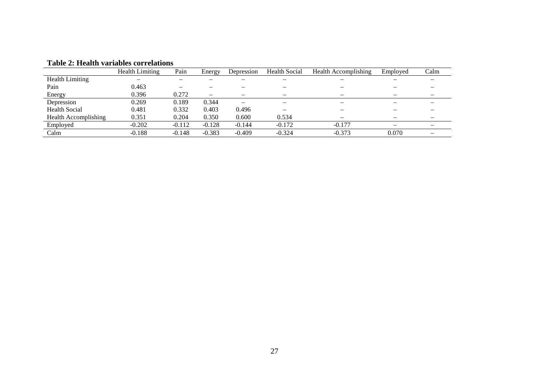|                             | <b>Health Limiting</b>   | Pain     | Energy   | Depression | <b>Health Social</b> | <b>Health Accomplishing</b> | Employed        | Calm |
|-----------------------------|--------------------------|----------|----------|------------|----------------------|-----------------------------|-----------------|------|
| <b>Health Limiting</b>      | $\overline{\phantom{0}}$ |          |          |            | –                    | $\overline{\phantom{a}}$    |                 |      |
| Pain                        | 0.463                    |          |          |            |                      |                             |                 |      |
| Energy                      | 0.396                    | 0.272    |          | -          |                      |                             |                 |      |
| Depression                  | 0.269                    | 0.189    | 0.344    | -          |                      |                             |                 |      |
| <b>Health Social</b>        | 0.481                    | 0.332    | 0.403    | 0.496      |                      |                             |                 |      |
| <b>Health Accomplishing</b> | 0.351                    | 0.204    | 0.350    | 0.600      | 0.534                |                             |                 |      |
| Employed                    | $-0.202$                 | $-0.112$ | $-0.128$ | $-0.144$   | $-0.172$             | $-0.177$                    | $\qquad \qquad$ |      |
| Calm                        | $-0.188$                 | $-0.148$ | $-0.383$ | $-0.409$   | $-0.324$             | $-0.373$                    | 0.070           |      |

# **Table 2: Health variables correlations**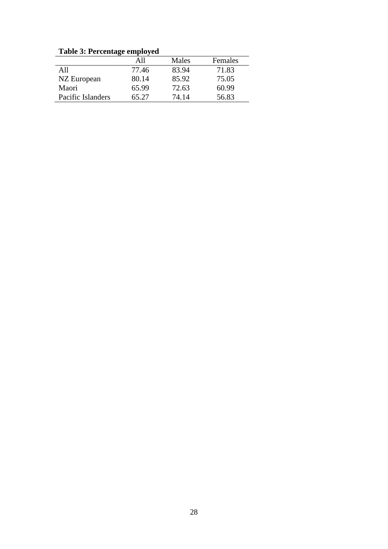**Table 3: Percentage employed**

|                   | All   | Males | Females |
|-------------------|-------|-------|---------|
| A11               | 77.46 | 83.94 | 71.83   |
| NZ European       | 80.14 | 85.92 | 75.05   |
| Maori             | 65.99 | 72.63 | 60.99   |
| Pacific Islanders | 65.27 | 74.14 | 56.83   |
|                   |       |       |         |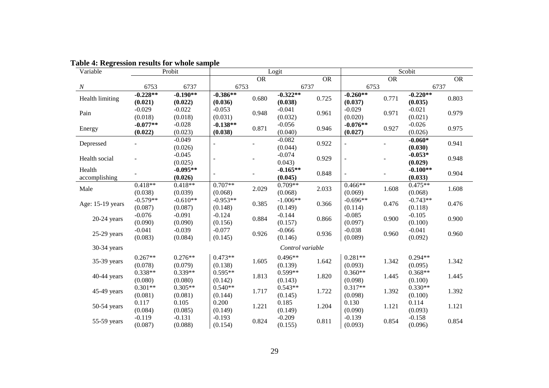| $\frac{1}{2}$<br>Variable |                       | Probit                |                          |           | Logit                 |           |                          |       | Scobit                |            |
|---------------------------|-----------------------|-----------------------|--------------------------|-----------|-----------------------|-----------|--------------------------|-------|-----------------------|------------|
|                           |                       |                       |                          | <b>OR</b> |                       | <b>OR</b> |                          | OR    |                       | ${\sf OR}$ |
| $\boldsymbol{N}$          | 6753                  | 6737                  | 6753                     |           |                       | 6737      | 6753                     |       | 6737                  |            |
| Health limiting           | $-0.228**$<br>(0.021) | $-0.190**$<br>(0.022) | $-0.386**$<br>(0.036)    | 0.680     | $-0.322**$<br>(0.038) | 0.725     | $-0.260**$<br>(0.037)    | 0.771 | $-0.220**$<br>(0.035) | 0.803      |
| Pain                      | $-0.029$<br>(0.018)   | $-0.022$<br>(0.018)   | $-0.053$<br>(0.031)      | 0.948     | $-0.041$<br>(0.032)   | 0.961     | $-0.029$<br>(0.020)      | 0.971 | $-0.021$<br>(0.021)   | 0.979      |
| Energy                    | $-0.077**$<br>(0.022) | $-0.028$<br>(0.023)   | $-0.138**$<br>(0.038)    | 0.871     | $-0.056$<br>(0.040)   | 0.946     | $-0.076**$<br>(0.027)    | 0.927 | $-0.026$<br>(0.026)   | 0.975      |
| Depressed                 |                       | $-0.049$<br>(0.026)   | $\overline{\phantom{a}}$ |           | $-0.082$<br>(0.044)   | 0.922     | $\overline{\phantom{a}}$ |       | $-0.060*$<br>(0.030)  | 0.941      |
| Health social             |                       | $-0.045$<br>(0.025)   | $\blacksquare$           |           | $-0.074$<br>0.043)    | 0.929     | $\overline{\phantom{a}}$ |       | $-0.053*$<br>(0.029)  | 0.948      |
| Health<br>accomplishing   |                       | $-0.095**$<br>(0.026) | $\overline{\phantom{a}}$ |           | $-0.165**$<br>(0.045) | 0.848     | $\overline{a}$           |       | $-0.100**$<br>(0.033) | 0.904      |
| Male                      | $0.418**$<br>(0.038)  | $0.418**$<br>(0.039)  | $0.707**$<br>(0.068)     | 2.029     | $0.709**$<br>(0.068)  | 2.033     | $0.466**$<br>(0.069)     | 1.608 | $0.475**$<br>(0.068)  | 1.608      |
| Age: 15-19 years          | $-0.579**$<br>(0.087) | $-0.610**$<br>(0.087) | $-0.953**$<br>(0.148)    | 0.385     | $-1.006**$<br>(0.149) | 0.366     | $-0.696**$<br>(0.114)    | 0.476 | $-0.743**$<br>(0.118) | 0.476      |
| $20-24$ years             | $-0.076$<br>(0.090)   | $-0.091$<br>(0.090)   | $-0.124$<br>(0.156)      | 0.884     | $-0.144$<br>(0.157)   | 0.866     | $-0.085$<br>(0.097)      | 0.900 | $-0.105$<br>(0.100)   | 0.900      |
| 25-29 years               | $-0.041$<br>(0.083)   | $-0.039$<br>(0.084)   | $-0.077$<br>(0.145)      | 0.926     | $-0.066$<br>(0.146)   | 0.936     | $-0.038$<br>(0.089)      | 0.960 | $-0.041$<br>(0.092)   | 0.960      |
| 30-34 years               |                       |                       |                          |           | Control variable      |           |                          |       |                       |            |
| 35-39 years               | $0.267**$<br>(0.078)  | $0.276**$<br>(0.079)  | $0.473**$<br>(0.138)     | 1.605     | $0.496**$<br>(0.139)  | 1.642     | $0.281**$<br>(0.093)     | 1.342 | $0.294**$<br>(0.095)  | 1.342      |
| 40-44 years               | $0.338**$<br>(0.080)  | $0.339**$<br>(0.080)  | $0.595**$<br>(0.142)     | 1.813     | $0.599**$<br>(0.143)  | 1.820     | $0.360**$<br>(0.098)     | 1.445 | $0.368**$<br>(0.100)  | 1.445      |
| 45-49 years               | $0.301**$<br>(0.081)  | $0.305**$<br>(0.081)  | $0.540**$<br>(0.144)     | 1.717     | $0.543**$<br>(0.145)  | 1.722     | $0.317**$<br>(0.098)     | 1.392 | $0.330**$<br>(0.100)  | 1.392      |
| $50-54$ years             | 0.117<br>(0.084)      | 0.105<br>(0.085)      | 0.200<br>(0.149)         | 1.221     | 0.185<br>(0.149)      | 1.204     | 0.130<br>(0.090)         | 1.121 | 0.114<br>(0.093)      | 1.121      |
| 55-59 years               | $-0.119$<br>(0.087)   | $-0.131$<br>(0.088)   | $-0.193$<br>(0.154)      | 0.824     | $-0.209$<br>(0.155)   | 0.811     | $-0.139$<br>(0.093)      | 0.854 | $-0.158$<br>(0.096)   | 0.854      |

# **Table 4: Regression results for whole sample**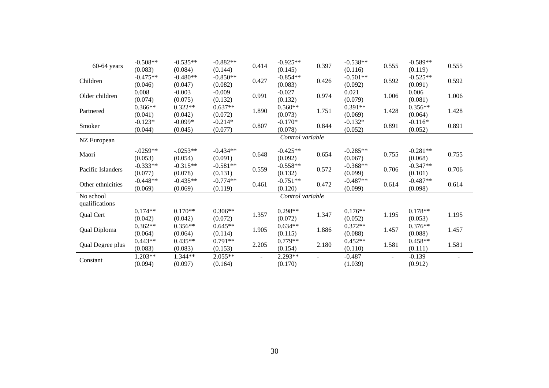| $60-64$ years               | $-0.508**$<br>(0.083) | $-0.535**$<br>(0.084) | $-0.882**$<br>(0.144) | 0.414                    | $-0.925**$<br>(0.145) | 0.397                    | $-0.538**$<br>(0.116) | 0.555                    | $-0.589**$<br>(0.119) | 0.555 |
|-----------------------------|-----------------------|-----------------------|-----------------------|--------------------------|-----------------------|--------------------------|-----------------------|--------------------------|-----------------------|-------|
| Children                    | $-0.475**$<br>(0.046) | $-0.480**$<br>(0.047) | $-0.850**$<br>(0.082) | 0.427                    | $-0.854**$<br>(0.083) | 0.426                    | $-0.501**$<br>(0.092) | 0.592                    | $-0.525**$<br>(0.091) | 0.592 |
| Older children              | 0.008<br>(0.074)      | $-0.003$<br>(0.075)   | $-0.009$<br>(0.132)   | 0.991                    | $-0.027$<br>(0.132)   | 0.974                    | 0.021<br>(0.079)      | 1.006                    | 0.006<br>(0.081)      | 1.006 |
| Partnered                   | $0.366**$<br>(0.041)  | $0.322**$<br>(0.042)  | $0.637**$<br>(0.072)  | 1.890                    | $0.560**$<br>(0.073)  | 1.751                    | $0.391**$<br>(0.069)  | 1.428                    | $0.356**$<br>(0.064)  | 1.428 |
| Smoker                      | $-0.123*$<br>(0.044)  | $-0.099*$<br>(0.045)  | $-0.214*$<br>(0.077)  | 0.807                    | $-0.170*$<br>(0.078)  | 0.844                    | $-0.132*$<br>(0.052)  | 0.891                    | $-0.116*$<br>(0.052)  | 0.891 |
| NZ European                 |                       |                       |                       |                          | Control variable      |                          |                       |                          |                       |       |
| Maori                       | $-.0259**$<br>(0.053) | $-.0253**$<br>(0.054) | $-0.434**$<br>(0.091) | 0.648                    | $-0.425**$<br>(0.092) | 0.654                    | $-0.285**$<br>(0.067) | 0.755                    | $-0.281**$<br>(0.068) | 0.755 |
| Pacific Islanders           | $-0.333**$<br>(0.077) | $-0.315**$<br>(0.078) | $-0.581**$<br>(0.131) | 0.559                    | $-0.558**$<br>(0.132) | 0.572                    | $-0.368**$<br>(0.099) | 0.706                    | $-0.347**$<br>(0.101) | 0.706 |
| Other ethnicities           | $-0.448**$<br>(0.069) | $-0.435**$<br>(0.069) | $-0.774**$<br>(0.119) | 0.461                    | $-0.751**$<br>(0.120) | 0.472                    | $-0.487**$<br>(0.099) | 0.614                    | $-0.487**$<br>(0.098) | 0.614 |
| No school<br>qualifications |                       |                       |                       |                          | Control variable      |                          |                       |                          |                       |       |
| Qual Cert                   | $0.174**$<br>(0.042)  | $0.170**$<br>(0.042)  | $0.306**$<br>(0.072)  | 1.357                    | $0.298**$<br>(0.072)  | 1.347                    | $0.176**$<br>(0.052)  | 1.195                    | $0.178**$<br>(0.053)  | 1.195 |
| Qual Diploma                | $0.362**$<br>(0.064)  | $0.356**$<br>(0.064)  | $0.645**$<br>(0.114)  | 1.905                    | $0.634**$<br>(0.115)  | 1.886                    | $0.372**$<br>(0.088)  | 1.457                    | $0.376**$<br>(0.088)  | 1.457 |
| Qual Degree plus            | $0.443**$<br>(0.083)  | $0.435**$<br>(0.083)  | $0.791**$<br>(0.153)  | 2.205                    | $0.779**$<br>(0.154)  | 2.180                    | $0.452**$<br>(0.110)  | 1.581                    | $0.458**$<br>(0.111)  | 1.581 |
| Constant                    | 1.203**<br>(0.094)    | 1.344**<br>(0.097)    | 2.055**<br>(0.164)    | $\overline{\phantom{a}}$ | 2.293**<br>(0.170)    | $\overline{\phantom{a}}$ | $-0.487$<br>(1.039)   | $\overline{\phantom{a}}$ | $-0.139$<br>(0.912)   |       |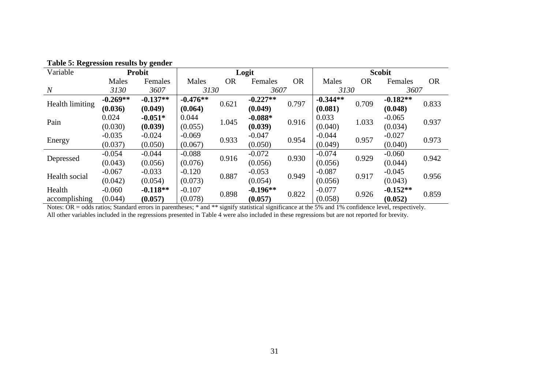| $\sim$ , senaci |            |                                           |            |           |            |           |            |           |               |           |  |
|-----------------|------------|-------------------------------------------|------------|-----------|------------|-----------|------------|-----------|---------------|-----------|--|
| Variable        |            | <b>Probit</b>                             |            |           | Logit      |           |            |           | <b>Scobit</b> |           |  |
|                 | Males      | Females                                   | Males      | <b>OR</b> | Females    | <b>OR</b> | Males      | <b>OR</b> | Females       | <b>OR</b> |  |
| $\overline{N}$  | 3130       | 3607                                      | 3130       |           | 3607       |           | 3130       |           | 3607          |           |  |
| Health limiting | $-0.269**$ | $-0.137**$                                | $-0.476**$ | 0.621     | $-0.227**$ | 0.797     | $-0.344**$ | 0.709     | $-0.182**$    | 0.833     |  |
|                 | (0.036)    | (0.049)                                   | (0.064)    |           | (0.049)    |           | (0.081)    |           | (0.048)       |           |  |
| Pain            | 0.024      | $-0.051*$                                 | 0.044      | 1.045     | $-0.088*$  | 0.916     | 0.033      | 1.033     | $-0.065$      | 0.937     |  |
|                 | (0.030)    | (0.039)                                   | (0.055)    |           | (0.039)    |           | (0.040)    |           | (0.034)       |           |  |
|                 | $-0.035$   | $-0.024$<br>$-0.069$<br>$-0.047$<br>0.933 | 0.954      | $-0.044$  | 0.957      | $-0.027$  | 0.973      |           |               |           |  |
| Energy          | (0.037)    | (0.050)                                   | (0.067)    |           | (0.050)    |           | (0.049)    |           | (0.040)       |           |  |
|                 | $-0.054$   | $-0.044$                                  | $-0.088$   | 0.916     | $-0.072$   | 0.930     | $-0.074$   | 0.929     | $-0.060$      | 0.942     |  |
| Depressed       | (0.043)    | (0.056)                                   | (0.076)    |           | (0.056)    |           | (0.056)    |           | (0.044)       |           |  |
| Health social   | $-0.067$   | $-0.033$                                  | $-0.120$   | 0.887     | $-0.053$   | 0.949     | $-0.087$   | 0.917     | $-0.045$      |           |  |
|                 | (0.042)    | (0.054)                                   | (0.073)    |           | (0.054)    |           | (0.056)    |           | (0.043)       | 0.956     |  |
| Health          | $-0.060$   | $-0.118**$                                | $-0.107$   | 0.898     | $-0.196**$ | 0.822     | $-0.077$   | 0.926     | $-0.152**$    | 0.859     |  |
| accomplishing   | (0.044)    | (0.057)                                   | (0.078)    |           | (0.057)    |           | (0.058)    |           | (0.052)       |           |  |

|  | Table 5: Regression results by gender |  |  |  |
|--|---------------------------------------|--|--|--|
|--|---------------------------------------|--|--|--|

Notes: OR = odds ratios; Standard errors in parentheses; \* and \*\* signify statistical significance at the 5% and 1% confidence level, respectively. All other variables included in the regressions presented in Table 4 were also included in these regressions but are not reported for brevity.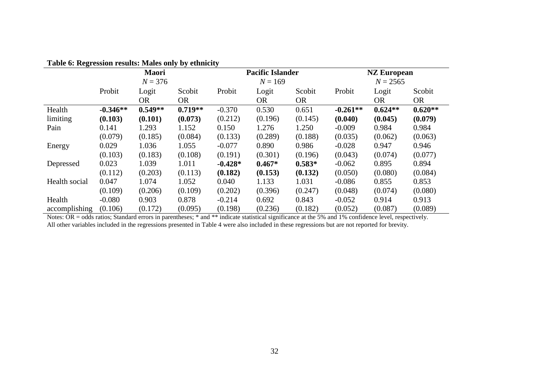| Table v. Regi ession results. Males only by culturity |              |           |           |           |                         |           |            |                    |           |  |
|-------------------------------------------------------|--------------|-----------|-----------|-----------|-------------------------|-----------|------------|--------------------|-----------|--|
|                                                       | <b>Maori</b> |           |           |           | <b>Pacific Islander</b> |           |            | <b>NZ European</b> |           |  |
|                                                       |              | $N = 376$ |           | $N = 169$ |                         |           | $N = 2565$ |                    |           |  |
|                                                       | Probit       | Logit     | Scobit    | Probit    | Logit                   | Scobit    | Probit     | Logit              | Scobit    |  |
|                                                       |              | <b>OR</b> | <b>OR</b> |           | <b>OR</b>               | <b>OR</b> |            | OR.                | <b>OR</b> |  |
| Health                                                | $-0.346**$   | $0.549**$ | $0.719**$ | $-0.370$  | 0.530                   | 0.651     | $-0.261**$ | $0.624**$          | $0.620**$ |  |
| limiting                                              | (0.103)      | (0.101)   | (0.073)   | (0.212)   | (0.196)                 | (0.145)   | (0.040)    | (0.045)            | (0.079)   |  |
| Pain                                                  | 0.141        | 1.293     | 1.152     | 0.150     | 1.276                   | 1.250     | $-0.009$   | 0.984              | 0.984     |  |
|                                                       | (0.079)      | (0.185)   | (0.084)   | (0.133)   | (0.289)                 | (0.188)   | (0.035)    | (0.062)            | (0.063)   |  |
| Energy                                                | 0.029        | 1.036     | 1.055     | $-0.077$  | 0.890                   | 0.986     | $-0.028$   | 0.947              | 0.946     |  |
|                                                       | (0.103)      | (0.183)   | (0.108)   | (0.191)   | (0.301)                 | (0.196)   | (0.043)    | (0.074)            | (0.077)   |  |
| Depressed                                             | 0.023        | 1.039     | 1.011     | $-0.428*$ | $0.467*$                | $0.583*$  | $-0.062$   | 0.895              | 0.894     |  |
|                                                       | (0.112)      | (0.203)   | (0.113)   | (0.182)   | (0.153)                 | (0.132)   | (0.050)    | (0.080)            | (0.084)   |  |
| Health social                                         | 0.047        | 1.074     | 1.052     | 0.040     | 1.133                   | 1.031     | $-0.086$   | 0.855              | 0.853     |  |
|                                                       | (0.109)      | (0.206)   | (0.109)   | (0.202)   | (0.396)                 | (0.247)   | (0.048)    | (0.074)            | (0.080)   |  |
| Health                                                | $-0.080$     | 0.903     | 0.878     | $-0.214$  | 0.692                   | 0.843     | $-0.052$   | 0.914              | 0.913     |  |
| accomplishing                                         | (0.106)      | (0.172)   | (0.095)   | (0.198)   | (0.236)                 | (0.182)   | (0.052)    | (0.087)            | (0.089)   |  |

# **Table 6: Regression results: Males only by ethnicity**

Notes: OR = odds ratios; Standard errors in parentheses; \* and \*\* indicate statistical significance at the 5% and 1% confidence level, respectively. All other variables included in the regressions presented in Table 4 were also included in these regressions but are not reported for brevity.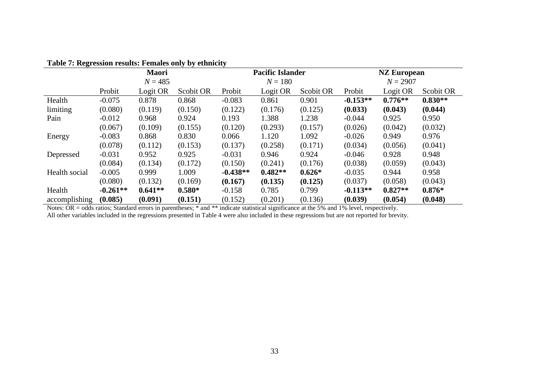| Table 7: Regression results. Females only by culturely |              |           |           |            |                         |           |            |                    |           |  |
|--------------------------------------------------------|--------------|-----------|-----------|------------|-------------------------|-----------|------------|--------------------|-----------|--|
|                                                        | <b>Maori</b> |           |           |            | <b>Pacific Islander</b> |           |            | <b>NZ European</b> |           |  |
|                                                        | $N = 485$    |           |           |            | $N = 180$               |           | $N = 2907$ |                    |           |  |
|                                                        | Probit       | Logit OR  | Scobit OR | Probit     | Logit OR                | Scobit OR | Probit     | Logit OR           | Scobit OR |  |
| Health                                                 | $-0.075$     | 0.878     | 0.868     | $-0.083$   | 0.861                   | 0.901     | $-0.153**$ | $0.776**$          | $0.830**$ |  |
| limiting                                               | (0.080)      | (0.119)   | (0.150)   | (0.122)    | (0.176)                 | (0.125)   | (0.033)    | (0.043)            | (0.044)   |  |
| Pain                                                   | $-0.012$     | 0.968     | 0.924     | 0.193      | 1.388                   | 1.238     | $-0.044$   | 0.925              | 0.950     |  |
|                                                        | (0.067)      | (0.109)   | (0.155)   | (0.120)    | (0.293)                 | (0.157)   | (0.026)    | (0.042)            | (0.032)   |  |
| Energy                                                 | $-0.083$     | 0.868     | 0.830     | 0.066      | 1.120                   | 1.092     | $-0.026$   | 0.949              | 0.976     |  |
|                                                        | (0.078)      | (0.112)   | (0.153)   | (0.137)    | (0.258)                 | (0.171)   | (0.034)    | (0.056)            | (0.041)   |  |
| Depressed                                              | $-0.031$     | 0.952     | 0.925     | $-0.031$   | 0.946                   | 0.924     | $-0.046$   | 0.928              | 0.948     |  |
|                                                        | (0.084)      | (0.134)   | (0.172)   | (0.150)    | (0.241)                 | (0.176)   | (0.038)    | (0.059)            | (0.043)   |  |
| Health social                                          | $-0.005$     | 0.999     | 1.009     | $-0.438**$ | $0.482**$               | $0.626*$  | $-0.035$   | 0.944              | 0.958     |  |
|                                                        | (0.080)      | (0.132)   | (0.169)   | (0.167)    | (0.135)                 | (0.125)   | (0.037)    | (0.058)            | (0.043)   |  |
| Health                                                 | $-0.261**$   | $0.641**$ | $0.580*$  | $-0.158$   | 0.785                   | 0.799     | $-0.113**$ | $0.827**$          | $0.876*$  |  |
| accomplishing                                          | (0.085)      | (0.091)   | (0.151)   | (0.152)    | (0.201)                 | (0.136)   | (0.039)    | (0.054)            | (0.048)   |  |

## **Table 7: Regression results: Females only by ethnicity**

Notes: OR = odds ratios; Standard errors in parentheses; \* and \*\* indicate statistical significance at the 5% and 1% level, respectively.

All other variables included in the regressions presented in Table 4 were also included in these regressions but are not reported for brevity.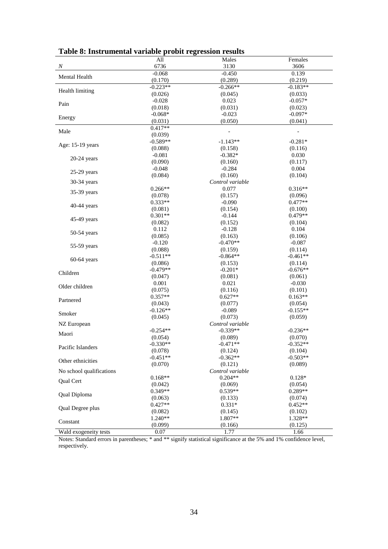| I abic o. Ilisti unichiai variable probit regression results |                      |                                |                       |
|--------------------------------------------------------------|----------------------|--------------------------------|-----------------------|
|                                                              | All                  | Males                          | Females               |
| $\boldsymbol{N}$                                             | 6736                 | 3130                           | 3606                  |
| Mental Health                                                | $-0.068$             | $-0.450$                       | 0.139                 |
|                                                              | (0.170)              | (0.289)                        | (0.219)               |
| Health limiting                                              | $-0.223**$           | $-0.266**$                     | $-0.183**$            |
|                                                              | (0.026)              | (0.045)                        | (0.033)               |
| Pain                                                         | $-0.028$             | 0.023                          | $-0.057*$             |
|                                                              | (0.018)              | (0.031)                        | (0.023)               |
| Energy                                                       | $-0.068*$            | $-0.023$                       | $-0.097*$             |
|                                                              | (0.031)              | (0.050)                        | (0.041)               |
| Male                                                         | $0.417**$            |                                |                       |
|                                                              | (0.039)              |                                |                       |
| Age: 15-19 years                                             | $-0.589**$           | $-1.143**$                     | $-0.281*$             |
|                                                              | (0.088)              | (0.158)                        | (0.116)               |
| $20-24$ years                                                | $-0.081$             | $-0.382*$                      | 0.030                 |
|                                                              | (0.090)              | (0.160)                        | (0.117)               |
| $25-29$ years                                                | $-0.048$             | $-0.284$                       | 0.004                 |
|                                                              | (0.084)              | (0.160)                        | (0.104)               |
| 30-34 years                                                  |                      | Control variable               |                       |
| 35-39 years                                                  | $0.266**$            | 0.077                          | $0.316**$             |
|                                                              | (0.078)              | (0.157)                        | (0.096)               |
| $40-44$ years                                                | $0.333**$            | $-0.090$                       | $0.477**$             |
|                                                              | (0.081)              | (0.154)                        | (0.100)               |
| 45-49 years                                                  | $0.301**$            | $-0.144$                       | $0.479**$             |
|                                                              | (0.082)              | (0.152)                        | (0.104)               |
| 50-54 years                                                  | 0.112                | $-0.128$                       | 0.104                 |
|                                                              | (0.085)              | (0.163)                        | (0.106)               |
| 55-59 years                                                  | $-0.120$             | $-0.470**$                     | $-0.087$              |
|                                                              | (0.088)              | (0.159)                        | (0.114)               |
| $60-64$ years                                                | $-0.511**$           | $-0.864**$                     | $-0.461**$            |
|                                                              | (0.086)              | (0.153)                        | (0.114)               |
| Children                                                     | $-0.479**$           | $-0.201*$                      | $-0.676**$            |
|                                                              | (0.047)              | (0.081)                        | (0.061)               |
| Older children                                               | 0.001                | 0.021                          | $-0.030$              |
|                                                              | (0.075)              | (0.116)                        | (0.101)               |
| Partnered                                                    | $0.357**$            | $0.627**$                      | $0.163**$             |
|                                                              | (0.043)              | (0.077)                        | (0.054)               |
| Smoker                                                       | $-0.126**$           | $-0.089$                       | $-0.155**$<br>(0.059) |
|                                                              | (0.045)              | (0.073)                        |                       |
| NZ European                                                  | $-0.254**$           | Control variable<br>$-0.339**$ | $-0.236**$            |
| Maori                                                        | (0.054)              | (0.089)                        | (0.070)               |
|                                                              | $-0.330**$           | $-0.471**$                     | $-0.352**$            |
| Pacific Islanders                                            | (0.078)              | (0.124)                        | (0.104)               |
|                                                              | $-0.451**$           | $-0.362**$                     | $-0.503**$            |
| Other ethnicities                                            | (0.070)              | (0.121)                        | (0.089)               |
| No school qualifications                                     |                      | Control variable               |                       |
|                                                              | $0.168**$            | $0.204**$                      | $0.128*$              |
| <b>Oual Cert</b>                                             |                      |                                | (0.054)               |
|                                                              | (0.042)<br>$0.349**$ | (0.069)<br>$0.539**$           | 0.289**               |
| Qual Diploma                                                 | (0.063)              |                                |                       |
|                                                              | $0.427**$            | (0.133)<br>$0.331*$            | (0.074)<br>$0.452**$  |
| Qual Degree plus                                             |                      |                                |                       |
|                                                              | (0.082)<br>$1.240**$ | (0.145)<br>1.807**             | (0.102)<br>1.328**    |
| Constant                                                     | (0.099)              | (0.166)                        | (0.125)               |
| Wald exogeneity tests                                        | 0.07                 | 1.77                           | 1.66                  |
|                                                              |                      |                                |                       |

**Table 8: Instrumental variable probit regression results**

Notes: Standard errors in parentheses; \* and \*\* signify statistical significance at the 5% and 1% confidence level, respectively.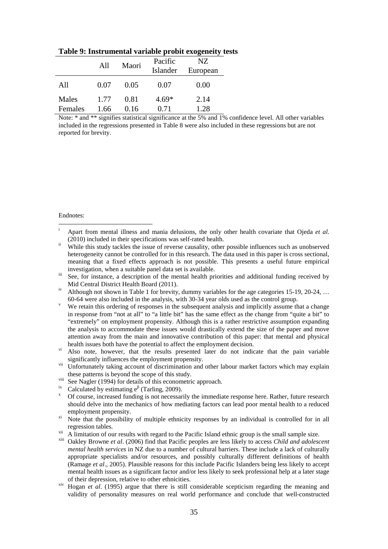|         | All  | Maori | Pacific<br>Islander | NZ.<br>European |
|---------|------|-------|---------------------|-----------------|
| All     | 0.07 | 0.05  | 0.07                | 0.00            |
| Males   | 1.77 | 0.81  | $4.69*$             | 2.14            |
| Females | 1.66 | 0.16  | 0.71                | 1.28            |

**Table 9: Instrumental variable probit exogeneity tests**

Note: \* and \*\* signifies statistical significance at the 5% and 1% confidence level. All other variables included in the regressions presented in Table 8 were also included in these regressions but are not reported for brevity.

Endnotes:

- <span id="page-34-7"></span><sup>viii</sup> See Nagler (1994) for details of this econometric approach.<br>
Calculated by estimating  $e^{\beta}$  (Tarling, 2009).
- <span id="page-34-8"></span>
- <span id="page-34-9"></span><sup>β</sup> (Tarling, 2009). <sup>x</sup> Of course, increased funding is not necessarily the immediate response here. Rather, future research should delve into the mechanics of how mediating factors can lead poor mental health to a reduced
- <span id="page-34-10"></span>employment propensity.<br>
<sup>xi</sup> Note that the possibility of multiple ethnicity responses by an individual is controlled for in all<br>
regression tables.
- 
- <span id="page-34-12"></span><span id="page-34-11"></span> $\frac{1}{x^{11}}$  A limitation of our results with regard to the Pacific Island ethnic group is the small sample size.<br>
<sup>xiii</sup> Oakley Browne *et al.* (2006) find that Pacific peoples are less likely to access *Child and adoles mental health services* in NZ due to a number of cultural barriers. These include a lack of culturally appropriate specialists and/or resources, and possibly culturally different definitions of health (Ramage *et al*., 2005). Plausible reasons for this include Pacific Islanders being less likely to accept mental health issues as a significant factor and/or less likely to seek professional help at a later stage of their depression, relative to other ethnicities.
- <span id="page-34-13"></span>xiv Hogan *et al*. (1995) argue that there is still considerable scepticism regarding the meaning and validity of personality measures on real world performance and conclude that well-constructed

<span id="page-34-0"></span>Apart from mental illness and mania delusions, the only other health covariate that Ojeda *et al.*  $(2010)$  included in their specifications was self-rated health.

<span id="page-34-1"></span>While this study tackles the issue of reverse causality, other possible influences such as unobserved heterogeneity cannot be controlled for in this research. The data used in this paper is cross sectional, meaning that a fixed effects approach is not possible. This presents a useful future empirical investigation, when a suitable panel data set is available.<br>iii See, for instance, a description of the mental health priorities and additional funding received by

<span id="page-34-2"></span>Mid Central District Health Board (2011).

<span id="page-34-3"></span>iv Although not shown in Table 1 for brevity, dummy variables for the age categories 15-19, 20-24, ...<br>60-64 were also included in the analysis, with 30-34 year olds used as the control group.

<span id="page-34-4"></span>We retain this ordering of responses in the subsequent analysis and implicitly assume that a change in response from "not at all" to "a little bit" has the same effect as the change from "quite a bit" to "extremely" on employment propensity. Although this is a rather restrictive assumption expanding the analysis to accommodate these issues would drastically extend the size of the paper and move attention away from the main and innovative contribution of this paper: that mental and physical health issues both have the potential to affect the employment decision.

<span id="page-34-5"></span> $\overrightarrow{v}$  Also note, however, that the results presented later do not indicate that the pain variable significantly influences the employment propensity.

<span id="page-34-6"></span>vii Unfortunately taking account of discrimination and other labour market factors which may explain these patterns is beyond the scope of this study.